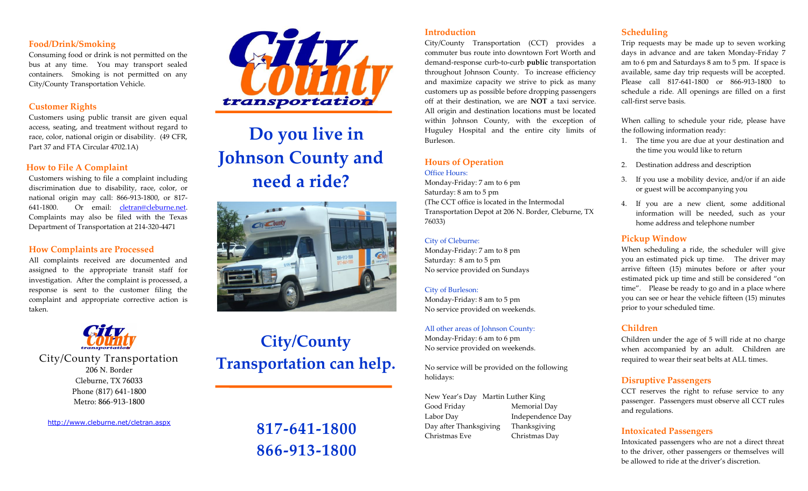## **Food/Drink/Smoking**

Consuming food or drink is not permitted on the bus at any time. You may transport sealed containers. Smoking is not permitted on any City/County Transportation Vehicle.

## **Customer Rights**

Customers using public transit are given equal access, seating, and treatment without regard to race, color, national origin or disability. (49 CFR, Part 37 and FTA Circular 4702.1A)

## **How to File A Complaint**

Customers wishing to file a complaint including discrimination due to disability, race, color, or national origin may call: 866-913-1800, or 817- 641-1800. Or email: [cletran@cleburne.net.](mailto:cletran@cleburne.net) Complaints may also be filed with the Texas Department of Transportation at 214-320-4471

## **How Complaints are Processed**

All complaints received are documented and assigned to the appropriate transit staff for investigation. After the complaint is processed, a response is sent to the customer filing the complaint and appropriate corrective action is taken.



City/County Transportation 206 N. Border Cleburne, TX 76033 Phone (817) 641-1800 Metro: 866-913-1800

[http://www.cleburne.net/cletran.asp](http://www.cleburne.net/cletran.aspx)x



# **Do you live in Johnson County and need a ride?**



# **City/County Transportation can help.**

# **817-641-1800 866-913-1800**

## **Introduction**

City/County Transportation (CCT) provides a commuter bus route into downtown Fort Worth and demand-response curb-to-curb **public** transportation throughout Johnson County. To increase efficiency and maximize capacity we strive to pick as many customers up as possible before dropping passengers off at their destination, we are **NOT** a taxi service. All origin and destination locations must be located within Johnson County, with the exception of Huguley Hospital and the entire city limits of Burleson.

# **Hours of Operation**

Office Hours:

Monday-Friday: 7 am to 6 pm Saturday: 8 am to 5 pm (The CCT office is located in the Intermodal Transportation Depot at 206 N. Border, Cleburne, TX 76033)

#### City of Cleburne:

Monday-Friday: 7 am to 8 pm Saturday: 8 am to 5 pm No service provided on Sundays

City of Burleson: Monday-Friday: 8 am to 5 pm No service provided on weekends.

All other areas of Johnson County: Monday-Friday: 6 am to 6 pm No service provided on weekends.

No service will be provided on the following holidays:

New Year's Day Martin Luther King Good Friday Memorial Day Labor Day Independence Day Day after Thanksgiving Thanksgiving Christmas Eve Christmas Day

# **Scheduling**

Trip requests may be made up to seven working days in advance and are taken Monday-Friday 7 am to 6 pm and Saturdays 8 am to 5 pm. If space is available, same day trip requests will be accepted. Please call 817-641-1800 or 866-913-1800 to schedule a ride. All openings are filled on a first call-first serve basis.

When calling to schedule your ride, please have the following information ready:

- 1. The time you are due at your destination and the time you would like to return
- 2. Destination address and description
- 3. If you use a mobility device, and/or if an aide or guest will be accompanying you
- 4. If you are a new client, some additional information will be needed, such as your home address and telephone number

## **Pickup Window**

When scheduling a ride, the scheduler will give you an estimated pick up time. The driver may arrive fifteen (15) minutes before or after your estimated pick up time and still be considered "on time". Please be ready to go and in a place where you can see or hear the vehicle fifteen (15) minutes prior to your scheduled time.

## **Children**

Children under the age of 5 will ride at no charge when accompanied by an adult. Children are required to wear their seat belts at ALL times.

# **Disruptive Passengers**

CCT reserves the right to refuse service to any passenger. Passengers must observe all CCT rules and regulations.

## **Intoxicated Passengers**

Intoxicated passengers who are not a direct threat to the driver, other passengers or themselves will be allowed to ride at the driver's discretion.